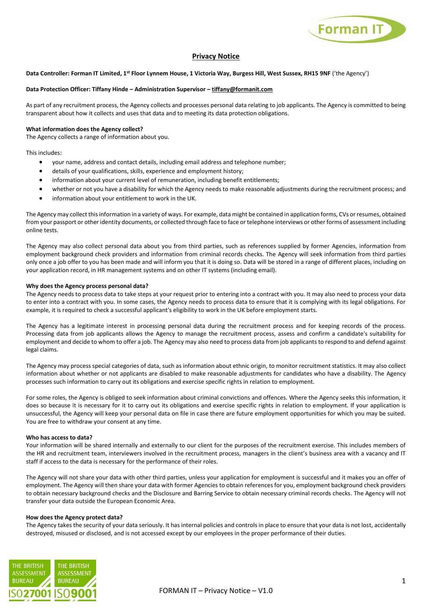

# **Privacy Notice**

# **Data Controller: Forman IT Limited, 1st Floor Lynnem House, 1 Victoria Way, Burgess Hill, West Sussex, RH15 9NF** ('the Agency')

# **Data Protection Officer: Tiffany Hinde – Administration Supervisor – [tiffany@formanit.com](mailto:tiffany@formanit.com)**

As part of any recruitment process, the Agency collects and processes personal data relating to job applicants. The Agency is committed to being transparent about how it collects and uses that data and to meeting its data protection obligations.

# **What information does the Agency collect?**

The Agency collects a range of information about you.

This includes:

- your name, address and contact details, including email address and telephone number;
- details of your qualifications, skills, experience and employment history;
- information about your current level of remuneration, including benefit entitlements;
- whether or not you have a disability for which the Agency needs to make reasonable adjustments during the recruitment process; and
- information about your entitlement to work in the UK.

The Agency may collect this information in a variety of ways. For example, data might be contained in application forms, CVs or resumes, obtained from your passport or other identity documents, or collected through face to face or telephone interviews or other forms of assessment including online tests.

The Agency may also collect personal data about you from third parties, such as references supplied by former Agencies, information from employment background check providers and information from criminal records checks. The Agency will seek information from third parties only once a job offer to you has been made and will inform you that it is doing so. Data will be stored in a range of different places, including on your application record, in HR management systems and on other IT systems (including email).

# **Why does the Agency process personal data?**

The Agency needs to process data to take steps at your request prior to entering into a contract with you. It may also need to process your data to enter into a contract with you. In some cases, the Agency needs to process data to ensure that it is complying with its legal obligations. For example, it is required to check a successful applicant's eligibility to work in the UK before employment starts.

The Agency has a legitimate interest in processing personal data during the recruitment process and for keeping records of the process. Processing data from job applicants allows the Agency to manage the recruitment process, assess and confirm a candidate's suitability for employment and decide to whom to offer a job. The Agency may also need to process data from job applicants to respond to and defend against legal claims.

The Agency may process special categories of data, such as information about ethnic origin, to monitor recruitment statistics. It may also collect information about whether or not applicants are disabled to make reasonable adjustments for candidates who have a disability. The Agency processes such information to carry out its obligations and exercise specific rights in relation to employment.

For some roles, the Agency is obliged to seek information about criminal convictions and offences. Where the Agency seeks this information, it does so because it is necessary for it to carry out its obligations and exercise specific rights in relation to employment. If your application is unsuccessful, the Agency will keep your personal data on file in case there are future employment opportunities for which you may be suited. You are free to withdraw your consent at any time.

#### **Who has access to data?**

Your information will be shared internally and externally to our client for the purposes of the recruitment exercise. This includes members of the HR and recruitment team, interviewers involved in the recruitment process, managers in the client's business area with a vacancy and IT staff if access to the data is necessary for the performance of their roles.

The Agency will not share your data with other third parties, unless your application for employment is successful and it makes you an offer of employment. The Agency will then share your data with former Agencies to obtain references for you, employment background check providers to obtain necessary background checks and the Disclosure and Barring Service to obtain necessary criminal records checks. The Agency will not transfer your data outside the European Economic Area.

#### **How does the Agency protect data?**

The Agency takes the security of your data seriously. It has internal policies and controls in place to ensure that your data is not lost, accidentally destroyed, misused or disclosed, and is not accessed except by our employees in the proper performance of their duties.